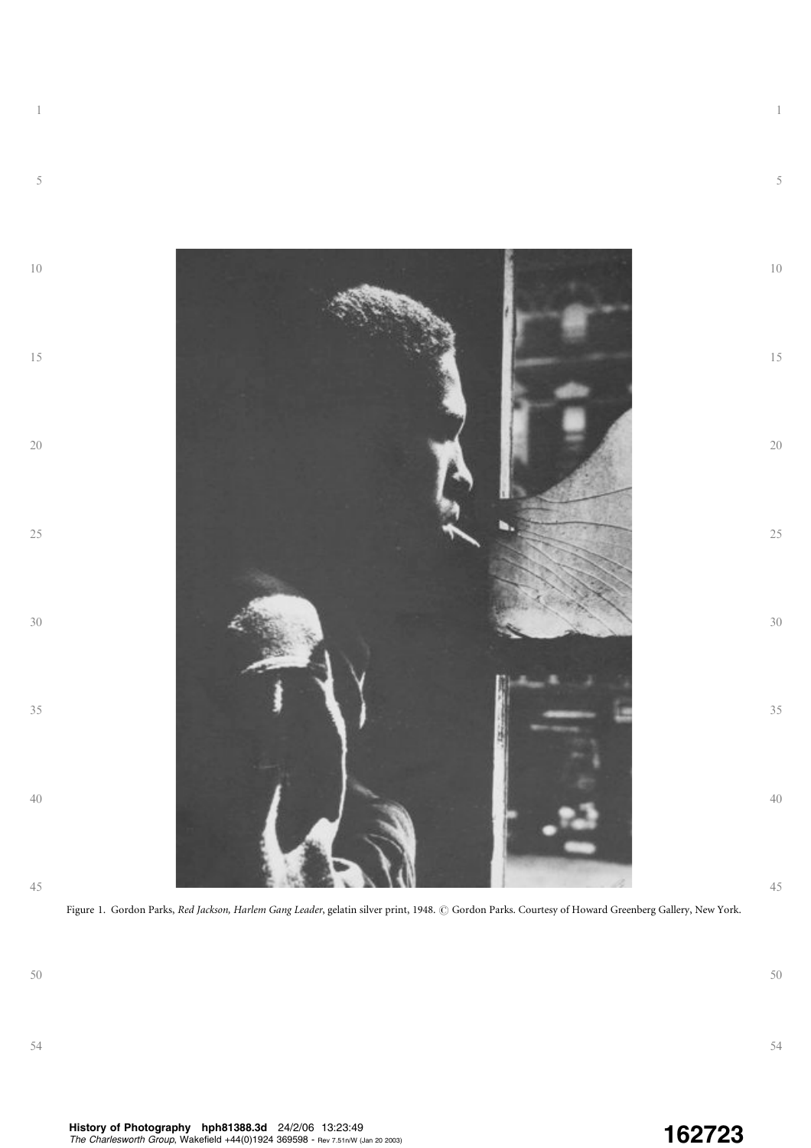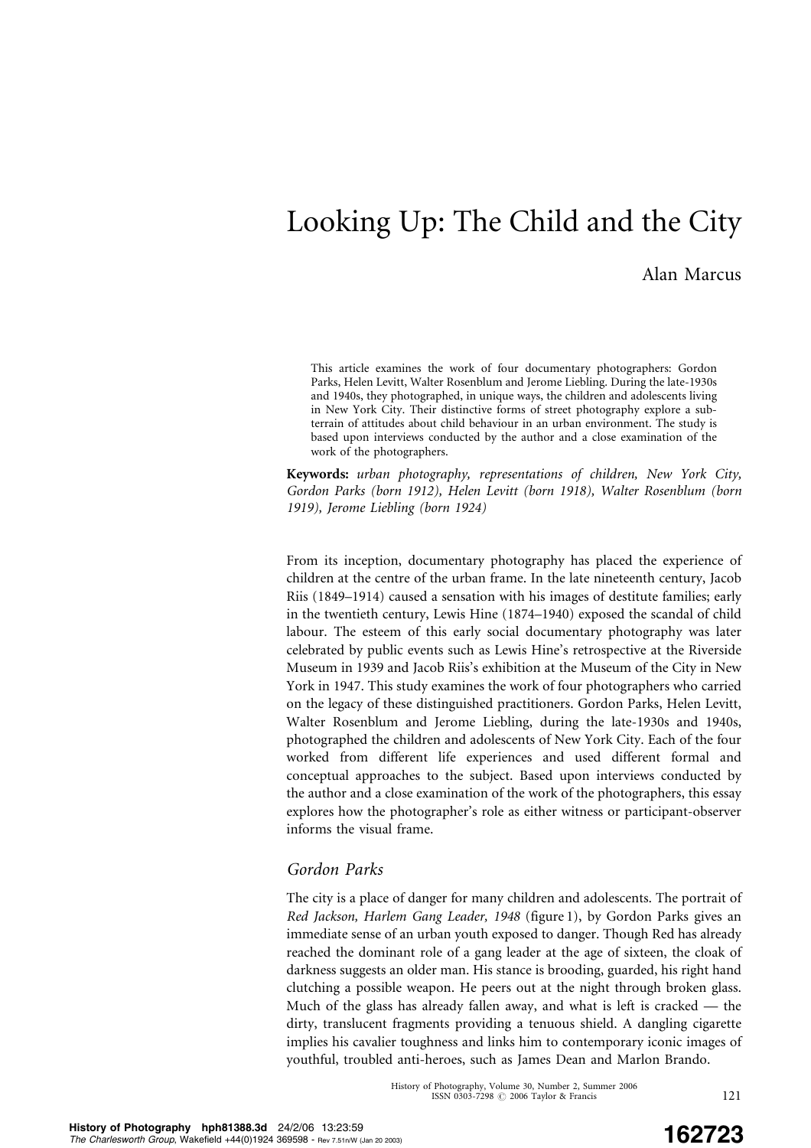# Looking Up: The Child and the City

# Alan Marcus

This article examines the work of four documentary photographers: Gordon Parks, Helen Levitt, Walter Rosenblum and Jerome Liebling. During the late-1930s and 1940s, they photographed, in unique ways, the children and adolescents living in New York City. Their distinctive forms of street photography explore a subterrain of attitudes about child behaviour in an urban environment. The study is based upon interviews conducted by the author and a close examination of the work of the photographers.

Keywords: urban photography, representations of children, New York City, Gordon Parks (born 1912), Helen Levitt (born 1918), Walter Rosenblum (born 1919), Jerome Liebling (born 1924)

From its inception, documentary photography has placed the experience of children at the centre of the urban frame. In the late nineteenth century, Jacob Riis (1849–1914) caused a sensation with his images of destitute families; early in the twentieth century, Lewis Hine (1874–1940) exposed the scandal of child labour. The esteem of this early social documentary photography was later celebrated by public events such as Lewis Hine's retrospective at the Riverside Museum in 1939 and Jacob Riis's exhibition at the Museum of the City in New York in 1947. This study examines the work of four photographers who carried on the legacy of these distinguished practitioners. Gordon Parks, Helen Levitt, Walter Rosenblum and Jerome Liebling, during the late-1930s and 1940s, photographed the children and adolescents of New York City. Each of the four worked from different life experiences and used different formal and conceptual approaches to the subject. Based upon interviews conducted by the author and a close examination of the work of the photographers, this essay explores how the photographer's role as either witness or participant-observer informs the visual frame.

# Gordon Parks

The city is a place of danger for many children and adolescents. The portrait of Red Jackson, Harlem Gang Leader, 1948 (figure 1), by Gordon Parks gives an immediate sense of an urban youth exposed to danger. Though Red has already reached the dominant role of a gang leader at the age of sixteen, the cloak of darkness suggests an older man. His stance is brooding, guarded, his right hand clutching a possible weapon. He peers out at the night through broken glass. Much of the glass has already fallen away, and what is left is cracked — the dirty, translucent fragments providing a tenuous shield. A dangling cigarette implies his cavalier toughness and links him to contemporary iconic images of youthful, troubled anti-heroes, such as James Dean and Marlon Brando.

History of Photography, Volume 30, Number 2, Summer 2006<br>ISSN 0303-7298 © 2006 Taylor & Francis 121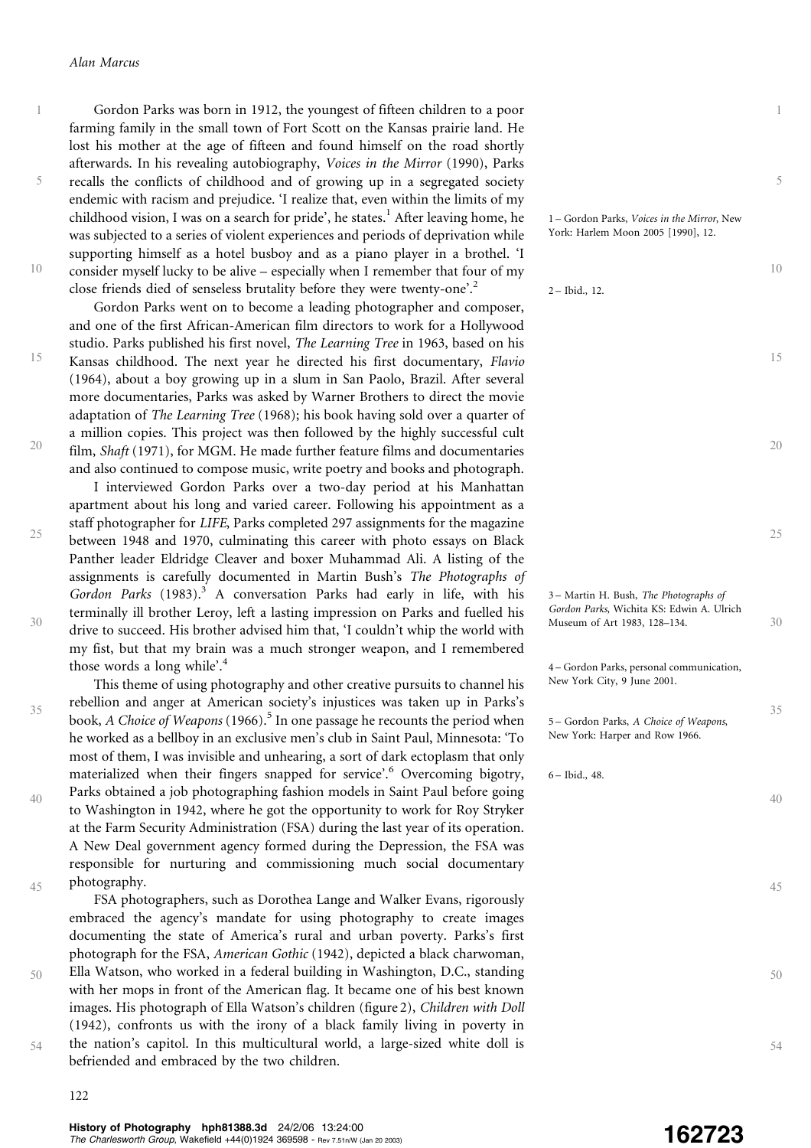### Alan Marcus

1

5

10

15

20

 $25$ 

30

35

40

45

50

54

Gordon Parks was born in 1912, the youngest of fifteen children to a poor farming family in the small town of Fort Scott on the Kansas prairie land. He lost his mother at the age of fifteen and found himself on the road shortly afterwards. In his revealing autobiography, Voices in the Mirror (1990), Parks recalls the conflicts of childhood and of growing up in a segregated society endemic with racism and prejudice. 'I realize that, even within the limits of my childhood vision, I was on a search for pride', he states.<sup>1</sup> After leaving home, he was subjected to a series of violent experiences and periods of deprivation while supporting himself as a hotel busboy and as a piano player in a brothel. 'I consider myself lucky to be alive – especially when I remember that four of my close friends died of senseless brutality before they were twenty-one'.<sup>2</sup>

Gordon Parks went on to become a leading photographer and composer, and one of the first African-American film directors to work for a Hollywood studio. Parks published his first novel, The Learning Tree in 1963, based on his Kansas childhood. The next year he directed his first documentary, Flavio (1964), about a boy growing up in a slum in San Paolo, Brazil. After several more documentaries, Parks was asked by Warner Brothers to direct the movie adaptation of The Learning Tree (1968); his book having sold over a quarter of a million copies. This project was then followed by the highly successful cult film, Shaft (1971), for MGM. He made further feature films and documentaries and also continued to compose music, write poetry and books and photograph.

I interviewed Gordon Parks over a two-day period at his Manhattan apartment about his long and varied career. Following his appointment as a staff photographer for LIFE, Parks completed 297 assignments for the magazine between 1948 and 1970, culminating this career with photo essays on Black Panther leader Eldridge Cleaver and boxer Muhammad Ali. A listing of the assignments is carefully documented in Martin Bush's The Photographs of Gordon Parks (1983).<sup>3</sup> A conversation Parks had early in life, with his terminally ill brother Leroy, left a lasting impression on Parks and fuelled his drive to succeed. His brother advised him that, 'I couldn't whip the world with my fist, but that my brain was a much stronger weapon, and I remembered those words a long while'. $4$ 

This theme of using photography and other creative pursuits to channel his rebellion and anger at American society's injustices was taken up in Parks's book, A Choice of Weapons (1966).<sup>5</sup> In one passage he recounts the period when he worked as a bellboy in an exclusive men's club in Saint Paul, Minnesota: 'To most of them, I was invisible and unhearing, a sort of dark ectoplasm that only materialized when their fingers snapped for service'.<sup>6</sup> Overcoming bigotry, Parks obtained a job photographing fashion models in Saint Paul before going to Washington in 1942, where he got the opportunity to work for Roy Stryker at the Farm Security Administration (FSA) during the last year of its operation. A New Deal government agency formed during the Depression, the FSA was responsible for nurturing and commissioning much social documentary photography.

FSA photographers, such as Dorothea Lange and Walker Evans, rigorously embraced the agency's mandate for using photography to create images documenting the state of America's rural and urban poverty. Parks's first photograph for the FSA, American Gothic (1942), depicted a black charwoman, Ella Watson, who worked in a federal building in Washington, D.C., standing with her mops in front of the American flag. It became one of his best known images. His photograph of Ella Watson's children (figure 2), Children with Doll (1942), confronts us with the irony of a black family living in poverty in the nation's capitol. In this multicultural world, a large-sized white doll is befriended and embraced by the two children.

122

1 – Gordon Parks, Voices in the Mirror, New York: Harlem Moon 2005 [1990], 12.

2 – Ibid., 12.

15

 $20$ 

1

5

10

 $25$ 

30

35

3 – Martin H. Bush, The Photographs of Gordon Parks, Wichita KS: Edwin A. Ulrich Museum of Art 1983, 128–134.

4 – Gordon Parks, personal communication, New York City, 9 June 2001.

5 – Gordon Parks, A Choice of Weapons, New York: Harper and Row 1966.

6 – Ibid., 48.

40

45

50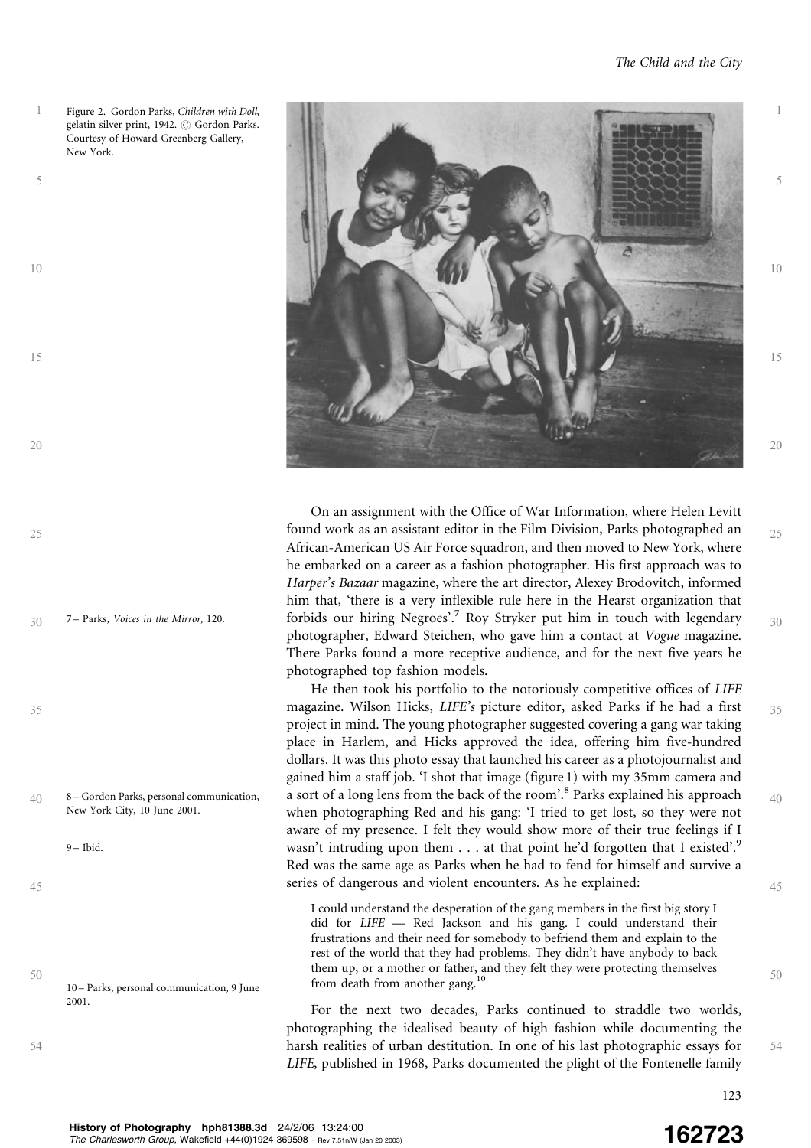Figure 2. Gordon Parks, Children with Doll, gelatin silver print, 1942.  $\oslash$  Gordon Parks. Courtesy of Howard Greenberg Gallery, New York. 1

5

10

15

 $20$ 

25

30

35

40

45

50

54



On an assignment with the Office of War Information, where Helen Levitt found work as an assistant editor in the Film Division, Parks photographed an African-American US Air Force squadron, and then moved to New York, where he embarked on a career as a fashion photographer. His first approach was to Harper's Bazaar magazine, where the art director, Alexey Brodovitch, informed him that, 'there is a very inflexible rule here in the Hearst organization that forbids our hiring Negroes'.<sup>7</sup> Roy Stryker put him in touch with legendary photographer, Edward Steichen, who gave him a contact at Vogue magazine. There Parks found a more receptive audience, and for the next five years he photographed top fashion models.

He then took his portfolio to the notoriously competitive offices of LIFE magazine. Wilson Hicks, LIFE's picture editor, asked Parks if he had a first project in mind. The young photographer suggested covering a gang war taking place in Harlem, and Hicks approved the idea, offering him five-hundred dollars. It was this photo essay that launched his career as a photojournalist and gained him a staff job. 'I shot that image (figure 1) with my 35mm camera and a sort of a long lens from the back of the room'.<sup>8</sup> Parks explained his approach when photographing Red and his gang: 'I tried to get lost, so they were not aware of my presence. I felt they would show more of their true feelings if I wasn't intruding upon them . . . at that point he'd forgotten that I existed'.<sup>9</sup> Red was the same age as Parks when he had to fend for himself and survive a series of dangerous and violent encounters. As he explained:

I could understand the desperation of the gang members in the first big story I did for LIFE — Red Jackson and his gang. I could understand their frustrations and their need for somebody to befriend them and explain to the rest of the world that they had problems. They didn't have anybody to back them up, or a mother or father, and they felt they were protecting themselves from death from another gang.<sup>10</sup>

For the next two decades, Parks continued to straddle two worlds, photographing the idealised beauty of high fashion while documenting the harsh realities of urban destitution. In one of his last photographic essays for LIFE, published in 1968, Parks documented the plight of the Fontenelle family 15

1

5

10

 $20$ 

35

30

 $40$ 

45

50

54

8 – Gordon Parks, personal communication,

10 – Parks, personal communication, 9 June

New York City, 10 June 2001.

7 – Parks, Voices in the Mirror, 120.

 $9 - 1$ hid.

2001.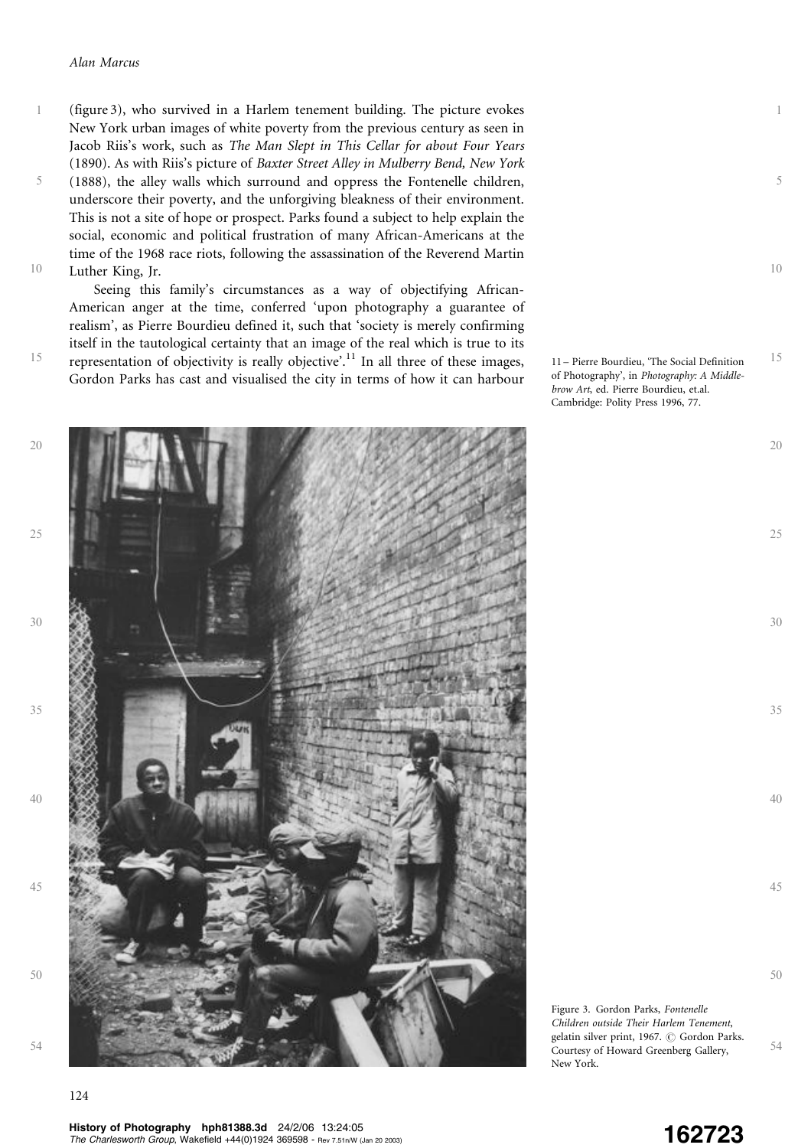### Alan Marcus

1

15

20

(figure 3), who survived in a Harlem tenement building. The picture evokes New York urban images of white poverty from the previous century as seen in Jacob Riis's work, such as The Man Slept in This Cellar for about Four Years (1890). As with Riis's picture of Baxter Street Alley in Mulberry Bend, New York

(1888), the alley walls which surround and oppress the Fontenelle children, underscore their poverty, and the unforgiving bleakness of their environment. This is not a site of hope or prospect. Parks found a subject to help explain the social, economic and political frustration of many African-Americans at the time of the 1968 race riots, following the assassination of the Reverend Martin Luther King, Jr. 5 10

Seeing this family's circumstances as a way of objectifying African-American anger at the time, conferred 'upon photography a guarantee of realism', as Pierre Bourdieu defined it, such that 'society is merely confirming itself in the tautological certainty that an image of the real which is true to its representation of objectivity is really objective'.<sup>11</sup> In all three of these images, Gordon Parks has cast and visualised the city in terms of how it can harbour

11 – Pierre Bourdieu, 'The Social Definition of Photography', in Photography: A Middlebrow Art, ed. Pierre Bourdieu, et.al. Cambridge: Polity Press 1996, 77.

Figure 3. Gordon Parks, Fontenelle Children outside Their Harlem Tenement, gelatin silver print, 1967. © Gordon Parks. Courtesy of Howard Greenberg Gallery, New York.



124

History of Photography hph81388.3d 24/2/06 13:24:05 History of Photography hph81388.3d 24/2/06 13:24:05<br>*The Charlesworth Group*, Wakefield +44(0)1924 369598 - Rev 7.51n/W (Jan 20 2003) **1627 - 162 1641 1627 23** 

1

5

10

15

 $20$ 

 $25$ 

30

35

40

45

50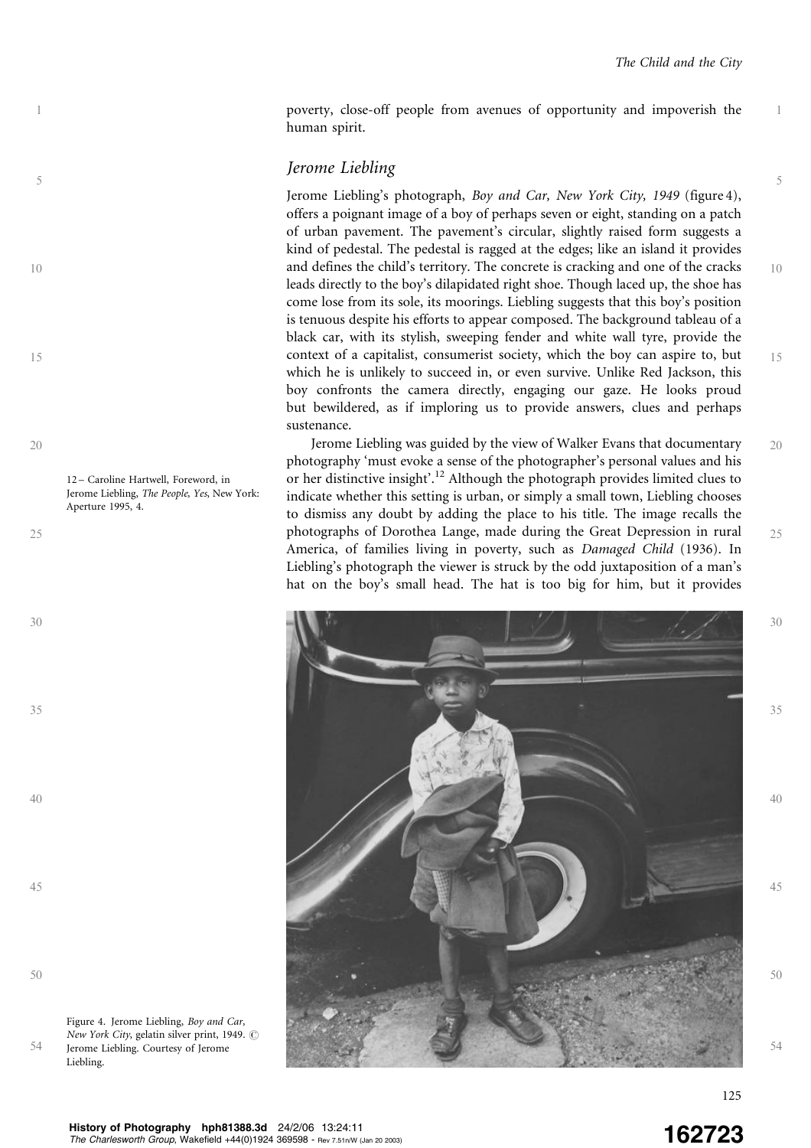5

10

15

poverty, close-off people from avenues of opportunity and impoverish the human spirit.

# Jerome Liebling

Jerome Liebling's photograph, Boy and Car, New York City, 1949 (figure 4), offers a poignant image of a boy of perhaps seven or eight, standing on a patch of urban pavement. The pavement's circular, slightly raised form suggests a kind of pedestal. The pedestal is ragged at the edges; like an island it provides and defines the child's territory. The concrete is cracking and one of the cracks leads directly to the boy's dilapidated right shoe. Though laced up, the shoe has come lose from its sole, its moorings. Liebling suggests that this boy's position is tenuous despite his efforts to appear composed. The background tableau of a black car, with its stylish, sweeping fender and white wall tyre, provide the context of a capitalist, consumerist society, which the boy can aspire to, but which he is unlikely to succeed in, or even survive. Unlike Red Jackson, this boy confronts the camera directly, engaging our gaze. He looks proud but bewildered, as if imploring us to provide answers, clues and perhaps sustenance.

Jerome Liebling was guided by the view of Walker Evans that documentary photography 'must evoke a sense of the photographer's personal values and his or her distinctive insight'.<sup>12</sup> Although the photograph provides limited clues to indicate whether this setting is urban, or simply a small town, Liebling chooses to dismiss any doubt by adding the place to his title. The image recalls the photographs of Dorothea Lange, made during the Great Depression in rural America, of families living in poverty, such as Damaged Child (1936). In Liebling's photograph the viewer is struck by the odd juxtaposition of a man's hat on the boy's small head. The hat is too big for him, but it provides  $20$  $25$ 



15

1

5

10

 $20$ 

12 – Caroline Hartwell, Foreword, in Jerome Liebling, The People, Yes, New York: Aperture 1995, 4.

25

30

35

40

45

50

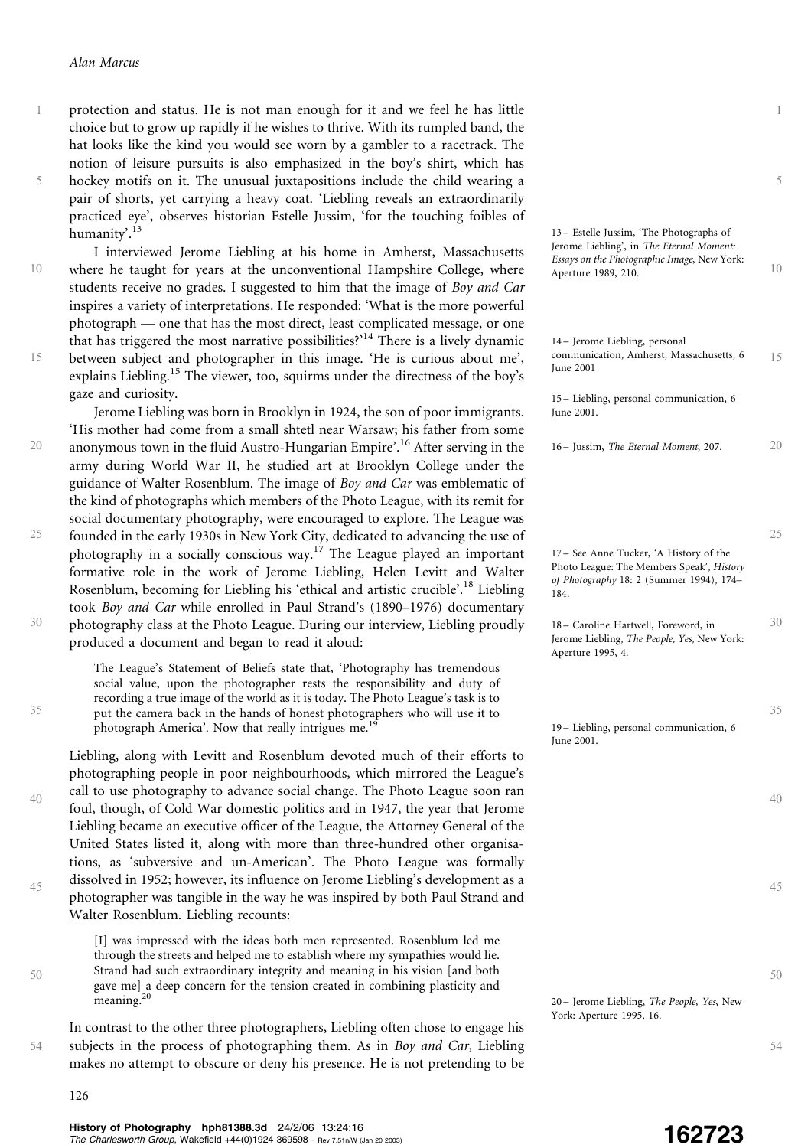- protection and status. He is not man enough for it and we feel he has little choice but to grow up rapidly if he wishes to thrive. With its rumpled band, the hat looks like the kind you would see worn by a gambler to a racetrack. The notion of leisure pursuits is also emphasized in the boy's shirt, which has hockey motifs on it. The unusual juxtapositions include the child wearing a pair of shorts, yet carrying a heavy coat. 'Liebling reveals an extraordinarily practiced eye', observes historian Estelle Jussim, 'for the touching foibles of humanity'.13 1 5
- I interviewed Jerome Liebling at his home in Amherst, Massachusetts where he taught for years at the unconventional Hampshire College, where students receive no grades. I suggested to him that the image of Boy and Car inspires a variety of interpretations. He responded: 'What is the more powerful photograph — one that has the most direct, least complicated message, or one that has triggered the most narrative possibilities?<sup>14</sup> There is a lively dynamic between subject and photographer in this image. 'He is curious about me', explains Liebling.<sup>15</sup> The viewer, too, squirms under the directness of the boy's gaze and curiosity. 10 15
- Jerome Liebling was born in Brooklyn in 1924, the son of poor immigrants. 'His mother had come from a small shtetl near Warsaw; his father from some anonymous town in the fluid Austro-Hungarian Empire'.<sup>16</sup> After serving in the army during World War II, he studied art at Brooklyn College under the guidance of Walter Rosenblum. The image of Boy and Car was emblematic of the kind of photographs which members of the Photo League, with its remit for social documentary photography, were encouraged to explore. The League was founded in the early 1930s in New York City, dedicated to advancing the use of photography in a socially conscious way.<sup>17</sup> The League played an important formative role in the work of Jerome Liebling, Helen Levitt and Walter Rosenblum, becoming for Liebling his 'ethical and artistic crucible'.18 Liebling took Boy and Car while enrolled in Paul Strand's (1890–1976) documentary photography class at the Photo League. During our interview, Liebling proudly produced a document and began to read it aloud: 20  $25$ 30

The League's Statement of Beliefs state that, 'Photography has tremendous social value, upon the photographer rests the responsibility and duty of recording a true image of the world as it is today. The Photo League's task is to put the camera back in the hands of honest photographers who will use it to photograph America'. Now that really intrigues me.<sup>1</sup>

Liebling, along with Levitt and Rosenblum devoted much of their efforts to photographing people in poor neighbourhoods, which mirrored the League's call to use photography to advance social change. The Photo League soon ran foul, though, of Cold War domestic politics and in 1947, the year that Jerome Liebling became an executive officer of the League, the Attorney General of the United States listed it, along with more than three-hundred other organisations, as 'subversive and un-American'. The Photo League was formally dissolved in 1952; however, its influence on Jerome Liebling's development as a photographer was tangible in the way he was inspired by both Paul Strand and Walter Rosenblum. Liebling recounts:

[I] was impressed with the ideas both men represented. Rosenblum led me through the streets and helped me to establish where my sympathies would lie. Strand had such extraordinary integrity and meaning in his vision [and both gave me] a deep concern for the tension created in combining plasticity and meaning.<sup>20</sup>

In contrast to the other three photographers, Liebling often chose to engage his subjects in the process of photographing them. As in Boy and Car, Liebling makes no attempt to obscure or deny his presence. He is not pretending to be 13 – Estelle Jussim, 'The Photographs of Jerome Liebling', in The Eternal Moment: Essays on the Photographic Image, New York: Aperture 1989, 210. 14 – Jerome Liebling, personal communication, Amherst, Massachusetts, 6 June 2001 15 – Liebling, personal communication, 6 June 2001. 16 – Jussim, The Eternal Moment, 207. 17 – See Anne Tucker, 'A History of the Photo League: The Members Speak', History of Photography 18: 2 (Summer 1994), 174– 184. 18 – Caroline Hartwell, Foreword, in Jerome Liebling, The People, Yes, New York: Aperture 1995, 4. 19 – Liebling, personal communication, 6 June 2001. 5 10 15  $20$  $25$ 30 35 40 45 50

20 – Jerome Liebling, The People, Yes, New York: Aperture 1995, 16.

54

#### 126

35

40

45

50

54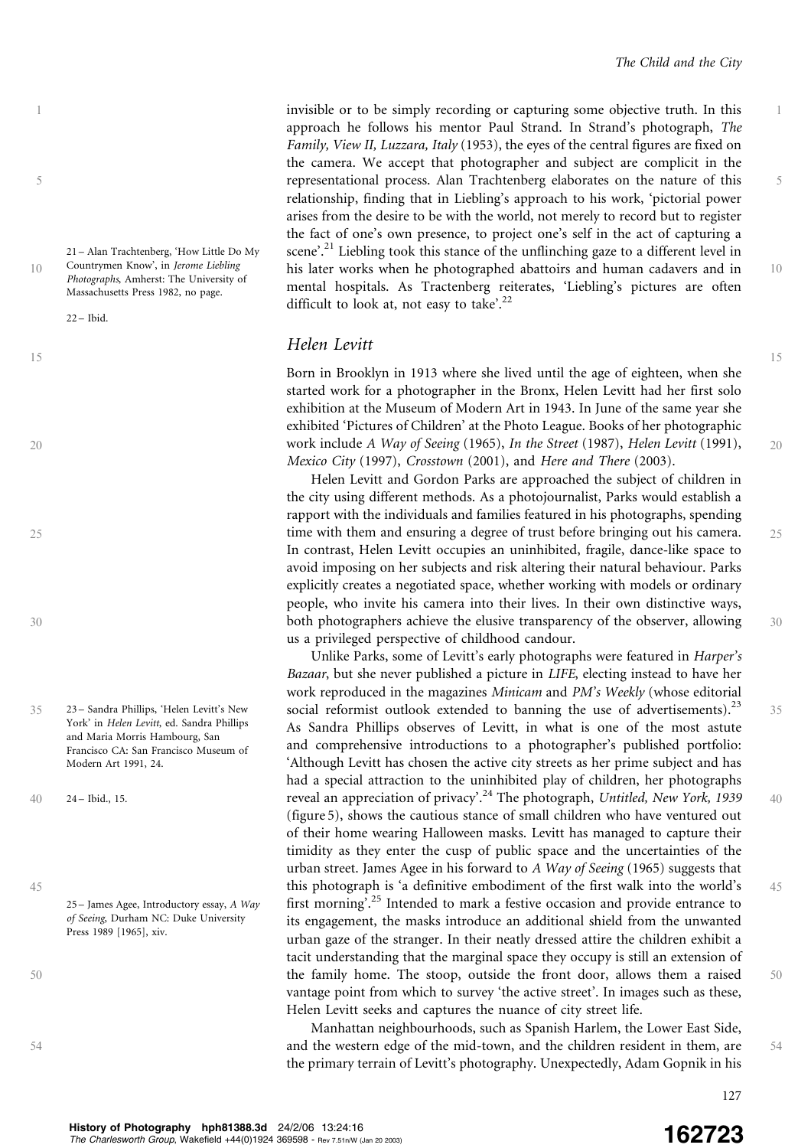5

10

15

 $20$ 

 $25$ 

30

35

40

45

50

 $54$ 

invisible or to be simply recording or capturing some objective truth. In this approach he follows his mentor Paul Strand. In Strand's photograph, The Family, View II, Luzzara, Italy (1953), the eyes of the central figures are fixed on the camera. We accept that photographer and subject are complicit in the representational process. Alan Trachtenberg elaborates on the nature of this relationship, finding that in Liebling's approach to his work, 'pictorial power arises from the desire to be with the world, not merely to record but to register the fact of one's own presence, to project one's self in the act of capturing a scene'.<sup>21</sup> Liebling took this stance of the unflinching gaze to a different level in his later works when he photographed abattoirs and human cadavers and in mental hospitals. As Tractenberg reiterates, 'Liebling's pictures are often difficult to look at, not easy to take'.<sup>22</sup>

# Helen Levitt

Born in Brooklyn in 1913 where she lived until the age of eighteen, when she started work for a photographer in the Bronx, Helen Levitt had her first solo exhibition at the Museum of Modern Art in 1943. In June of the same year she exhibited 'Pictures of Children' at the Photo League. Books of her photographic work include A Way of Seeing (1965), In the Street (1987), Helen Levitt (1991), Mexico City (1997), Crosstown (2001), and Here and There (2003).

Helen Levitt and Gordon Parks are approached the subject of children in the city using different methods. As a photojournalist, Parks would establish a rapport with the individuals and families featured in his photographs, spending time with them and ensuring a degree of trust before bringing out his camera. In contrast, Helen Levitt occupies an uninhibited, fragile, dance-like space to avoid imposing on her subjects and risk altering their natural behaviour. Parks explicitly creates a negotiated space, whether working with models or ordinary people, who invite his camera into their lives. In their own distinctive ways, both photographers achieve the elusive transparency of the observer, allowing us a privileged perspective of childhood candour.

Unlike Parks, some of Levitt's early photographs were featured in Harper's Bazaar, but she never published a picture in LIFE, electing instead to have her work reproduced in the magazines Minicam and PM's Weekly (whose editorial social reformist outlook extended to banning the use of advertisements).<sup>23</sup> As Sandra Phillips observes of Levitt, in what is one of the most astute and comprehensive introductions to a photographer's published portfolio: 'Although Levitt has chosen the active city streets as her prime subject and has had a special attraction to the uninhibited play of children, her photographs reveal an appreciation of privacy'.<sup>24</sup> The photograph, Untitled, New York, 1939 (figure 5), shows the cautious stance of small children who have ventured out of their home wearing Halloween masks. Levitt has managed to capture their timidity as they enter the cusp of public space and the uncertainties of the urban street. James Agee in his forward to A Way of Seeing (1965) suggests that this photograph is 'a definitive embodiment of the first walk into the world's first morning'.<sup>25</sup> Intended to mark a festive occasion and provide entrance to its engagement, the masks introduce an additional shield from the unwanted urban gaze of the stranger. In their neatly dressed attire the children exhibit a tacit understanding that the marginal space they occupy is still an extension of the family home. The stoop, outside the front door, allows them a raised vantage point from which to survey 'the active street'. In images such as these, Helen Levitt seeks and captures the nuance of city street life.

Manhattan neighbourhoods, such as Spanish Harlem, the Lower East Side, and the western edge of the mid-town, and the children resident in them, are the primary terrain of Levitt's photography. Unexpectedly, Adam Gopnik in his

127

21 – Alan Trachtenberg, 'How Little Do My Countrymen Know', in Jerome Liebling Photographs, Amherst: The University of Massachusetts Press 1982, no page. 10

22 – Ibid.

15

1

5

 $20$ 

- 25
- 30
- 23 Sandra Phillips, 'Helen Levitt's New York' in Helen Levitt, ed. Sandra Phillips and Maria Morris Hambourg, San Francisco CA: San Francisco Museum of Modern Art 1991, 24. 35
- 24 Ibid., 15. 40
	- 25 James Agee, Introductory essay, A Way of Seeing, Durham NC: Duke University Press 1989 [1965], xiv.
- 50

45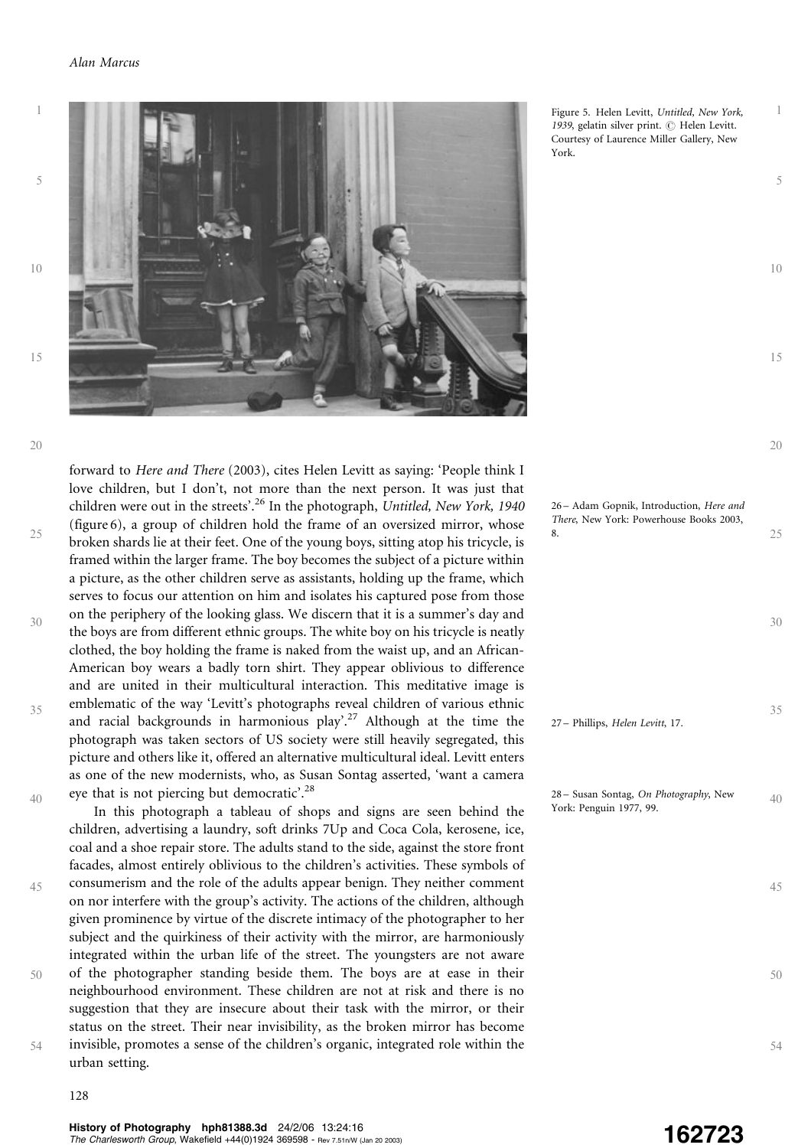20

40

45

50

54

1

5



Figure 5. Helen Levitt, Untitled, New York, 1939, gelatin silver print.  $\odot$  Helen Levitt. Courtesy of Laurence Miller Gallery, New York.

1

5

10

15

 $20$ 

26 – Adam Gopnik, Introduction, Here and

There, New York: Powerhouse Books 2003,  $25$ 

30

| 28 – Susan Sontag, <i>On Photography</i> , New | 40 |
|------------------------------------------------|----|
| York: Penguin 1977, 99.                        |    |

| ٠<br>٠ |             |
|--------|-------------|
| ٠      | I<br>$\sim$ |
|        |             |

50

54

27 – Phillips, Helen Levitt, 17. York: Penguin 1977, 99.

8.

forward to Here and There (2003), cites Helen Levitt as saying: 'People think I love children, but I don't, not more than the next person. It was just that children were out in the streets'.<sup>26</sup> In the photograph, Untitled, New York, 1940 (figure 6), a group of children hold the frame of an oversized mirror, whose broken shards lie at their feet. One of the young boys, sitting atop his tricycle, is framed within the larger frame. The boy becomes the subject of a picture within a picture, as the other children serve as assistants, holding up the frame, which serves to focus our attention on him and isolates his captured pose from those on the periphery of the looking glass. We discern that it is a summer's day and the boys are from different ethnic groups. The white boy on his tricycle is neatly clothed, the boy holding the frame is naked from the waist up, and an African-American boy wears a badly torn shirt. They appear oblivious to difference and are united in their multicultural interaction. This meditative image is emblematic of the way 'Levitt's photographs reveal children of various ethnic and racial backgrounds in harmonious play'.<sup>27</sup> Although at the time the photograph was taken sectors of US society were still heavily segregated, this picture and others like it, offered an alternative multicultural ideal. Levitt enters as one of the new modernists, who, as Susan Sontag asserted, 'want a camera  $25$ 30 35

eye that is not piercing but democratic'.<sup>28</sup> In this photograph a tableau of shops and signs are seen behind the children, advertising a laundry, soft drinks 7Up and Coca Cola, kerosene, ice, coal and a shoe repair store. The adults stand to the side, against the store front facades, almost entirely oblivious to the children's activities. These symbols of consumerism and the role of the adults appear benign. They neither comment on nor interfere with the group's activity. The actions of the children, although given prominence by virtue of the discrete intimacy of the photographer to her subject and the quirkiness of their activity with the mirror, are harmoniously integrated within the urban life of the street. The youngsters are not aware of the photographer standing beside them. The boys are at ease in their neighbourhood environment. These children are not at risk and there is no suggestion that they are insecure about their task with the mirror, or their status on the street. Their near invisibility, as the broken mirror has become invisible, promotes a sense of the children's organic, integrated role within the urban setting.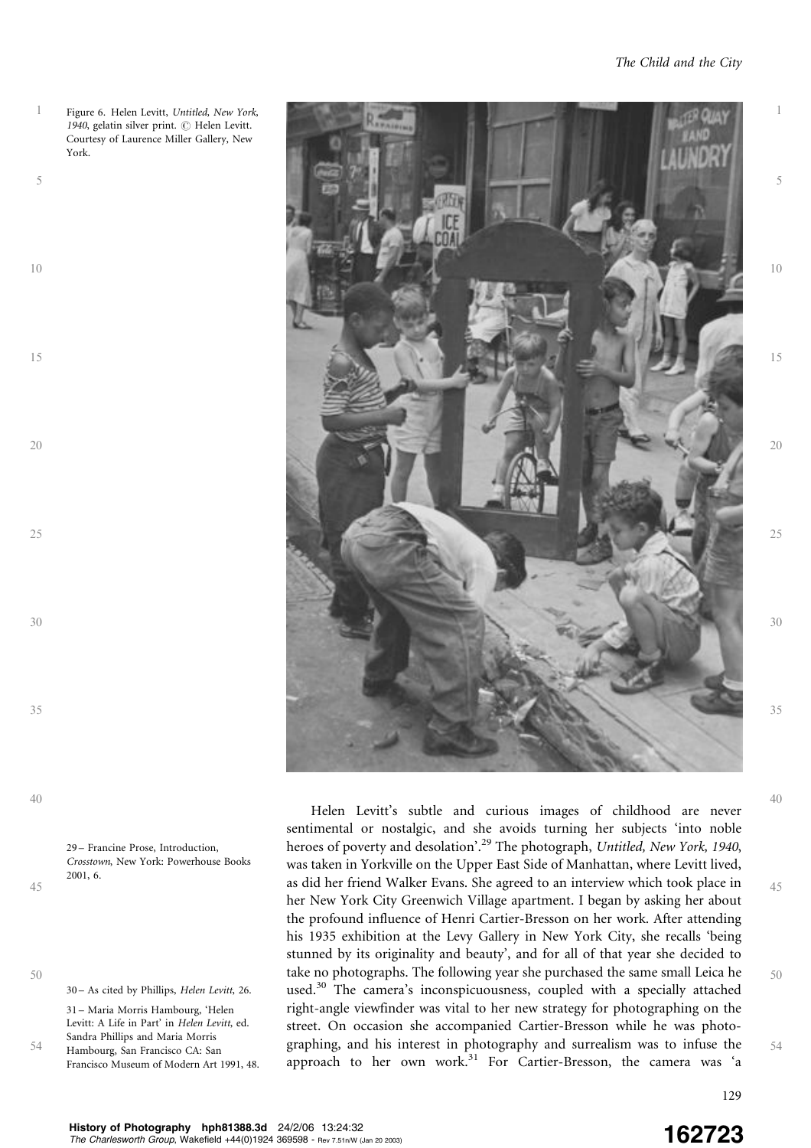5

10

15

 $20$ 

 $25$ 

30

35

40

45

50

54

Figure 6. Helen Levitt, Untitled, New York, 1940, gelatin silver print. © Helen Levitt. Courtesy of Laurence Miller Gallery, New York. 1



- 10
- 
- 15
- 
- $20$
- 
- 
- 25
- 
- 30
- 
- 35

40

29 – Francine Prose, Introduction, Crosstown, New York: Powerhouse Books 2001, 6.

50

54

45



31 – Maria Morris Hambourg, 'Helen Levitt: A Life in Part' in Helen Levitt, ed. Sandra Phillips and Maria Morris Hambourg, San Francisco CA: San Francisco Museum of Modern Art 1991, 48.

Helen Levitt's subtle and curious images of childhood are never sentimental or nostalgic, and she avoids turning her subjects 'into noble heroes of poverty and desolation'.<sup>29</sup> The photograph, Untitled, New York, 1940, was taken in Yorkville on the Upper East Side of Manhattan, where Levitt lived, as did her friend Walker Evans. She agreed to an interview which took place in her New York City Greenwich Village apartment. I began by asking her about the profound influence of Henri Cartier-Bresson on her work. After attending his 1935 exhibition at the Levy Gallery in New York City, she recalls 'being stunned by its originality and beauty', and for all of that year she decided to take no photographs. The following year she purchased the same small Leica he used.<sup>30</sup> The camera's inconspicuousness, coupled with a specially attached right-angle viewfinder was vital to her new strategy for photographing on the street. On occasion she accompanied Cartier-Bresson while he was photographing, and his interest in photography and surrealism was to infuse the approach to her own work. $31$  For Cartier-Bresson, the camera was 'a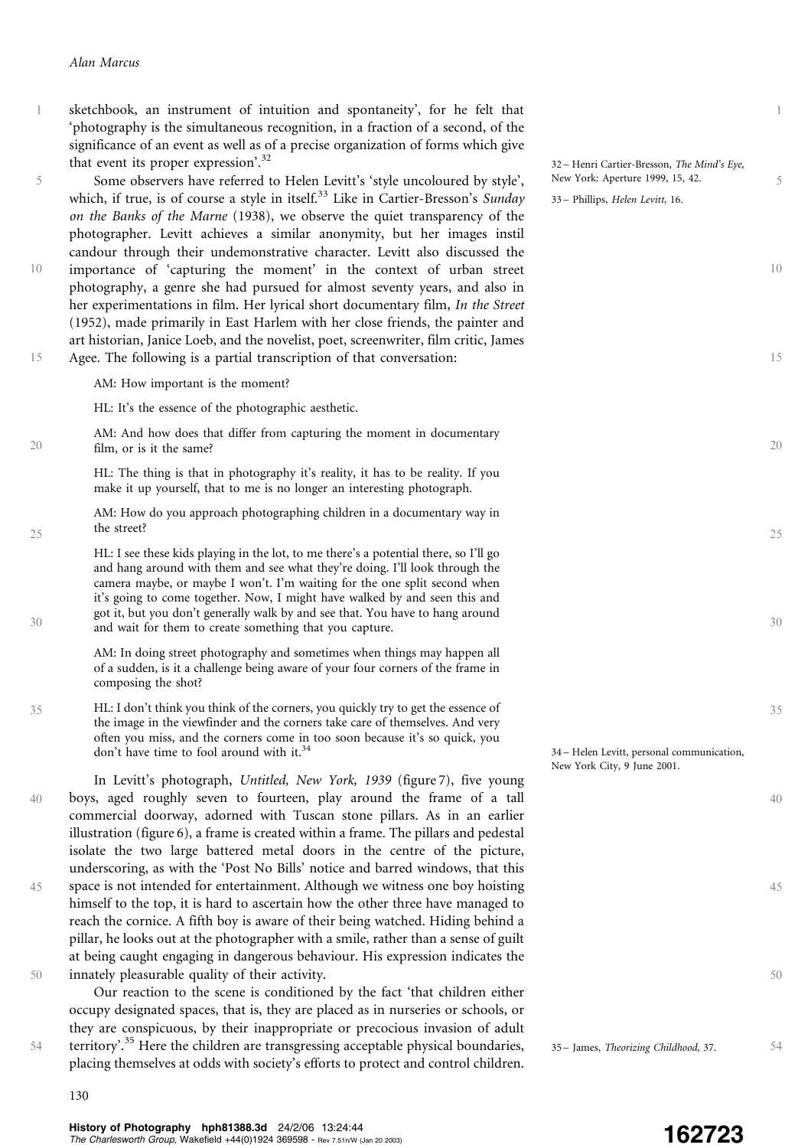### Alan Marcus

- sketchbook, an instrument of intuition and spontaneity', for he felt that 'photography is the simultaneous recognition, in a fraction of a second, of the significance of an event as well as of a precise organization of forms which give that event its proper expression<sup>'.32</sup> 1
- Some observers have referred to Helen Levitt's 'style uncoloured by style', which, if true, is of course a style in itself.<sup>33</sup> Like in Cartier-Bresson's Sunday on the Banks of the Marne (1938), we observe the quiet transparency of the photographer. Levitt achieves a similar anonymity, but her images instil candour through their undemonstrative character. Levitt also discussed the importance of 'capturing the moment' in the context of urban street photography, a genre she had pursued for almost seventy years, and also in her experimentations in film. Her lyrical short documentary film, In the Street (1952), made primarily in East Harlem with her close friends, the painter and art historian, Janice Loeb, and the novelist, poet, screenwriter, film critic, James Agee. The following is a partial transcription of that conversation: 5 10 15
- 

 $20$ 

 $25$ 

30

AM: How important is the moment?

HL: It's the essence of the photographic aesthetic.

AM: And how does that differ from capturing the moment in documentary film, or is it the same?

HL: The thing is that in photography it's reality, it has to be reality. If you make it up yourself, that to me is no longer an interesting photograph.

AM: How do you approach photographing children in a documentary way in the street?

HL: I see these kids playing in the lot, to me there's a potential there, so I'll go and hang around with them and see what they're doing. I'll look through the camera maybe, or maybe I won't. I'm waiting for the one split second when it's going to come together. Now, I might have walked by and seen this and got it, but you don't generally walk by and see that. You have to hang around and wait for them to create something that you capture.

AM: In doing street photography and sometimes when things may happen all of a sudden, is it a challenge being aware of your four corners of the frame in composing the shot?

HL: I don't think you think of the corners, you quickly try to get the essence of the image in the viewfinder and the corners take care of themselves. And very often you miss, and the corners come in too soon because it's so quick, you don't have time to fool around with it.<sup>34</sup> 35

In Levitt's photograph, Untitled, New York, 1939 (figure 7), five young boys, aged roughly seven to fourteen, play around the frame of a tall commercial doorway, adorned with Tuscan stone pillars. As in an earlier illustration (figure 6), a frame is created within a frame. The pillars and pedestal isolate the two large battered metal doors in the centre of the picture, underscoring, as with the 'Post No Bills' notice and barred windows, that this space is not intended for entertainment. Although we witness one boy hoisting himself to the top, it is hard to ascertain how the other three have managed to reach the cornice. A fifth boy is aware of their being watched. Hiding behind a pillar, he looks out at the photographer with a smile, rather than a sense of guilt at being caught engaging in dangerous behaviour. His expression indicates the innately pleasurable quality of their activity. 40 45 50

Our reaction to the scene is conditioned by the fact 'that children either occupy designated spaces, that is, they are placed as in nurseries or schools, or they are conspicuous, by their inappropriate or precocious invasion of adult territory'.<sup>35</sup> Here the children are transgressing acceptable physical boundaries, placing themselves at odds with society's efforts to protect and control children.

32 – Henri Cartier-Bresson, The Mind's Eye, New York: Aperture 1999, 15, 42. 33 – Phillips, Helen Levitt, 16.

10

1

5

15

 $20$ 

 $25$ 

30

35

40

45

50

34 – Helen Levitt, personal communication, New York City, 9 June 2001.

35 – James, Theorizing Childhood, 37. 54

130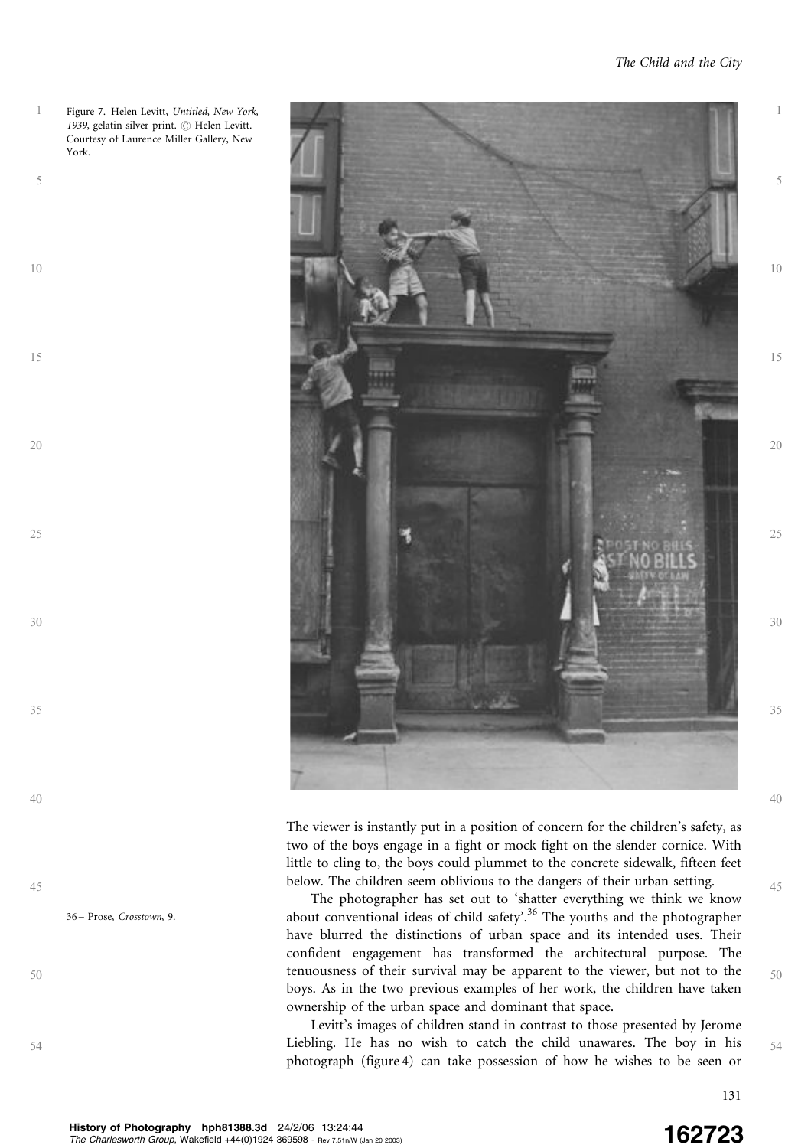Figure 7. Helen Levitt, Untitled, New York, 1939, gelatin silver print. © Helen Levitt. Courtesy of Laurence Miller Gallery, New York. 1



 $20$ 

5

10

15

25

30

35

40

45

36 – Prose, Crosstown, 9.

50

54



The viewer is instantly put in a position of concern for the children's safety, as two of the boys engage in a fight or mock fight on the slender cornice. With little to cling to, the boys could plummet to the concrete sidewalk, fifteen feet below. The children seem oblivious to the dangers of their urban setting.

The photographer has set out to 'shatter everything we think we know about conventional ideas of child safety'.<sup>36</sup> The youths and the photographer have blurred the distinctions of urban space and its intended uses. Their confident engagement has transformed the architectural purpose. The tenuousness of their survival may be apparent to the viewer, but not to the boys. As in the two previous examples of her work, the children have taken ownership of the urban space and dominant that space.

Levitt's images of children stand in contrast to those presented by Jerome Liebling. He has no wish to catch the child unawares. The boy in his photograph (figure 4) can take possession of how he wishes to be seen or

131

45

50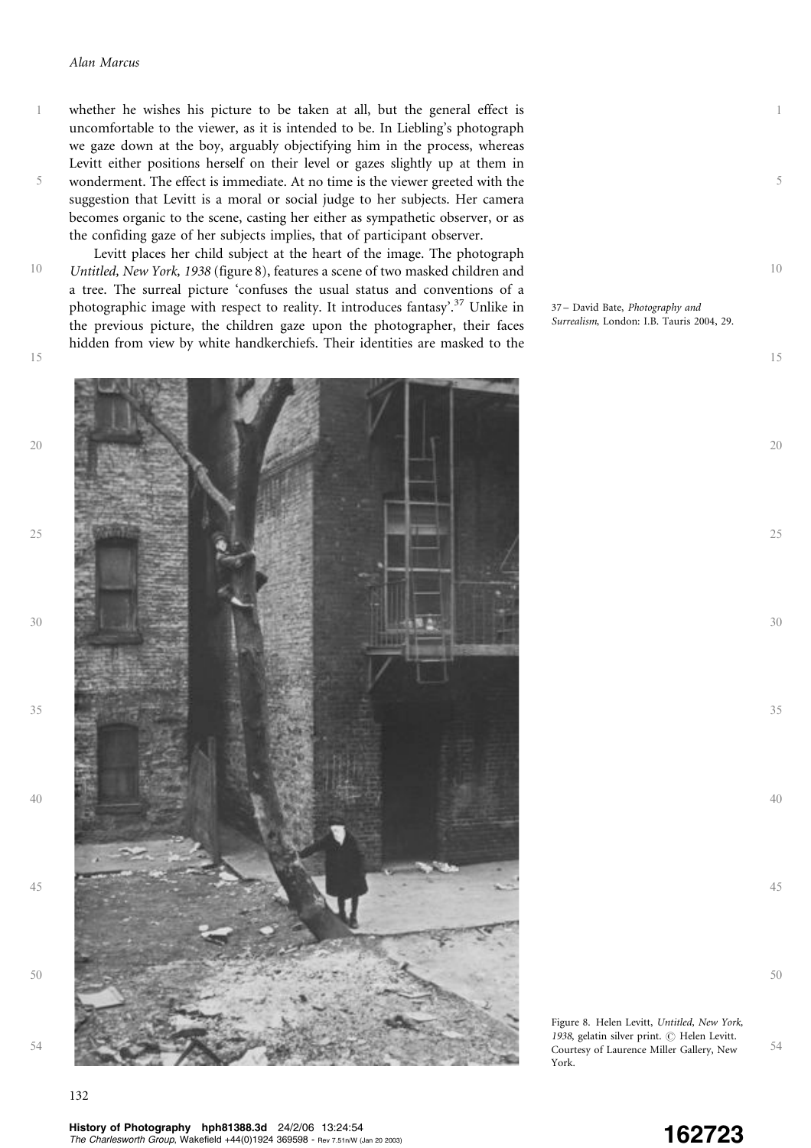whether he wishes his picture to be taken at all, but the general effect is uncomfortable to the viewer, as it is intended to be. In Liebling's photograph we gaze down at the boy, arguably objectifying him in the process, whereas Levitt either positions herself on their level or gazes slightly up at them in wonderment. The effect is immediate. At no time is the viewer greeted with the suggestion that Levitt is a moral or social judge to her subjects. Her camera becomes organic to the scene, casting her either as sympathetic observer, or as the confiding gaze of her subjects implies, that of participant observer.

10

1

5

Levitt places her child subject at the heart of the image. The photograph Untitled, New York, 1938 (figure 8), features a scene of two masked children and a tree. The surreal picture 'confuses the usual status and conventions of a photographic image with respect to reality. It introduces fantasy'.<sup>37</sup> Unlike in the previous picture, the children gaze upon the photographer, their faces hidden from view by white handkerchiefs. Their identities are masked to the



37 – David Bate, Photography and Surrealism, London: I.B. Tauris 2004, 29. 1

5

10

15

 $20$ 

 $25$ 

30

35

40

45

50

54

Figure 8. Helen Levitt, Untitled, New York, 1938, gelatin silver print.  $\odot$  Helen Levitt. Courtesy of Laurence Miller Gallery, New York.

132

History of Photography hph81388.3d 24/2/06 13:24:54 History of Photography hph81388.3d 24/2/06 13:24:54<br>*The Charlesworth Group*, Wakefield +44(0)1924 369598 - Rev 7.51n/W (Jan 20 2003) **1627 - 162 7 162 7 162 7 162 7**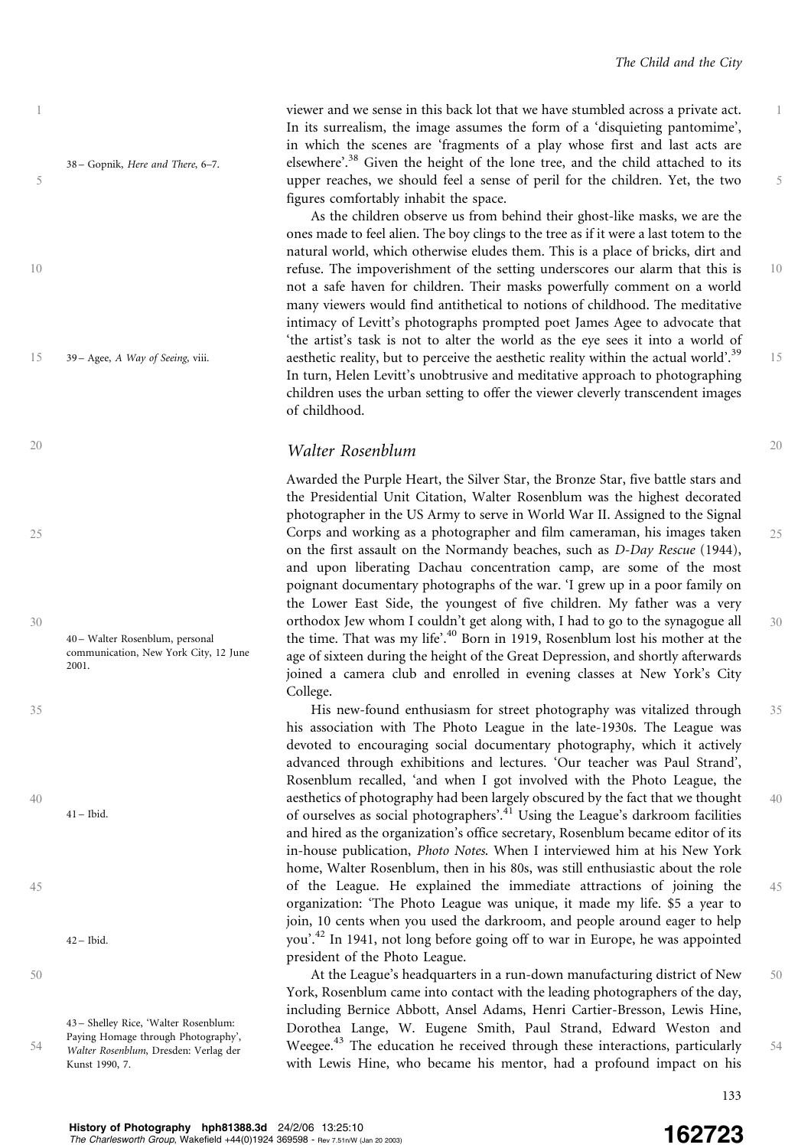5

10

15

 $20$ 

 $25$ 

30

38 – Gopnik, Here and There, 6–7.

39 – Agee, A Way of Seeing, viii.

5

1

10

15

 $20$ 

25

30

40 – Walter Rosenblum, personal communication, New York City, 12 June 2001.

35

40

 $41 -$ Ibid.

45

42 – Ibid.

50

54

43 – Shelley Rice, 'Walter Rosenblum: Paying Homage through Photography', Walter Rosenblum, Dresden: Verlag der Kunst 1990, 7.

viewer and we sense in this back lot that we have stumbled across a private act. In its surrealism, the image assumes the form of a 'disquieting pantomime', in which the scenes are 'fragments of a play whose first and last acts are elsewhere'.<sup>38</sup> Given the height of the lone tree, and the child attached to its upper reaches, we should feel a sense of peril for the children. Yet, the two figures comfortably inhabit the space.

As the children observe us from behind their ghost-like masks, we are the ones made to feel alien. The boy clings to the tree as if it were a last totem to the natural world, which otherwise eludes them. This is a place of bricks, dirt and refuse. The impoverishment of the setting underscores our alarm that this is not a safe haven for children. Their masks powerfully comment on a world many viewers would find antithetical to notions of childhood. The meditative intimacy of Levitt's photographs prompted poet James Agee to advocate that 'the artist's task is not to alter the world as the eye sees it into a world of aesthetic reality, but to perceive the aesthetic reality within the actual world'.<sup>39</sup> In turn, Helen Levitt's unobtrusive and meditative approach to photographing children uses the urban setting to offer the viewer cleverly transcendent images of childhood.

## Walter Rosenblum

Awarded the Purple Heart, the Silver Star, the Bronze Star, five battle stars and the Presidential Unit Citation, Walter Rosenblum was the highest decorated photographer in the US Army to serve in World War II. Assigned to the Signal Corps and working as a photographer and film cameraman, his images taken on the first assault on the Normandy beaches, such as D-Day Rescue (1944), and upon liberating Dachau concentration camp, are some of the most poignant documentary photographs of the war. 'I grew up in a poor family on the Lower East Side, the youngest of five children. My father was a very orthodox Jew whom I couldn't get along with, I had to go to the synagogue all the time. That was my life'.<sup>40</sup> Born in 1919, Rosenblum lost his mother at the age of sixteen during the height of the Great Depression, and shortly afterwards joined a camera club and enrolled in evening classes at New York's City College.

His new-found enthusiasm for street photography was vitalized through his association with The Photo League in the late-1930s. The League was devoted to encouraging social documentary photography, which it actively advanced through exhibitions and lectures. 'Our teacher was Paul Strand', Rosenblum recalled, 'and when I got involved with the Photo League, the aesthetics of photography had been largely obscured by the fact that we thought of ourselves as social photographers'.<sup>41</sup> Using the League's darkroom facilities and hired as the organization's office secretary, Rosenblum became editor of its in-house publication, Photo Notes. When I interviewed him at his New York home, Walter Rosenblum, then in his 80s, was still enthusiastic about the role of the League. He explained the immediate attractions of joining the organization: 'The Photo League was unique, it made my life. \$5 a year to join, 10 cents when you used the darkroom, and people around eager to help you'.<sup>42</sup> In 1941, not long before going off to war in Europe, he was appointed president of the Photo League. 35  $40$ 45

At the League's headquarters in a run-down manufacturing district of New York, Rosenblum came into contact with the leading photographers of the day, including Bernice Abbott, Ansel Adams, Henri Cartier-Bresson, Lewis Hine, Dorothea Lange, W. Eugene Smith, Paul Strand, Edward Weston and Weegee.<sup>43</sup> The education he received through these interactions, particularly with Lewis Hine, who became his mentor, had a profound impact on his

50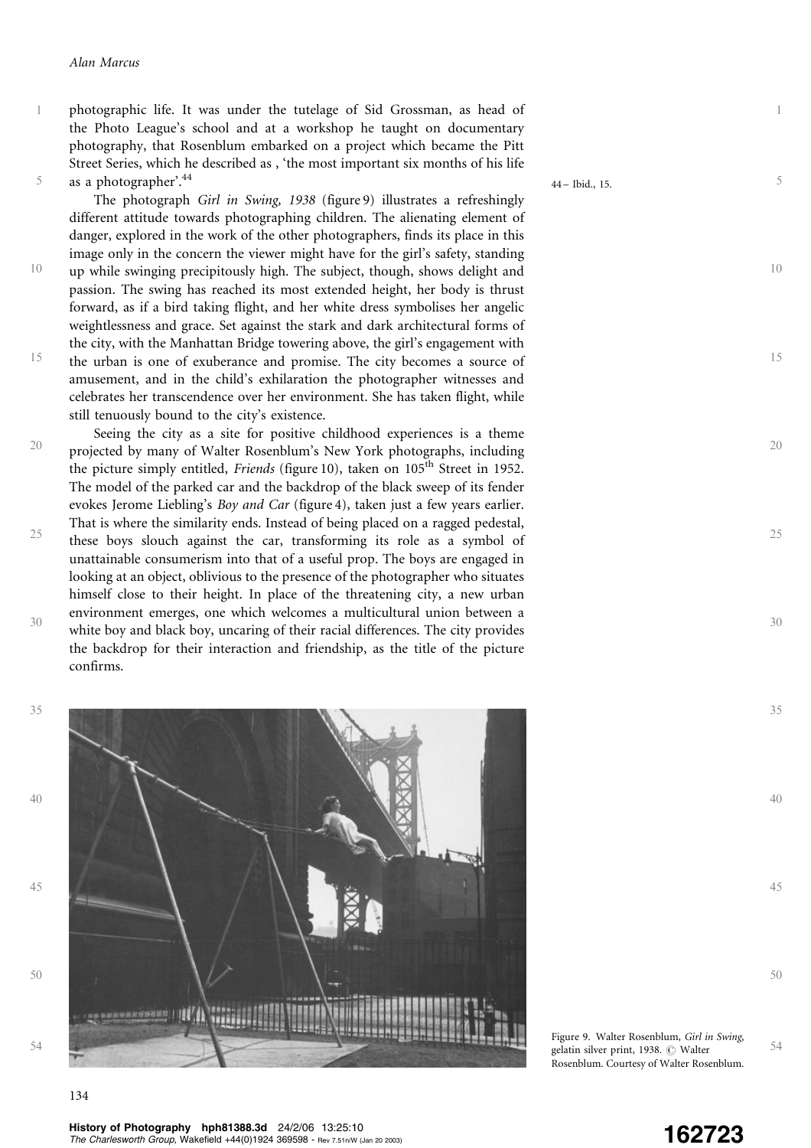5

10

15

photographic life. It was under the tutelage of Sid Grossman, as head of the Photo League's school and at a workshop he taught on documentary photography, that Rosenblum embarked on a project which became the Pitt Street Series, which he described as , 'the most important six months of his life as a photographer'.<sup>44</sup>

The photograph Girl in Swing, 1938 (figure 9) illustrates a refreshingly different attitude towards photographing children. The alienating element of danger, explored in the work of the other photographers, finds its place in this image only in the concern the viewer might have for the girl's safety, standing up while swinging precipitously high. The subject, though, shows delight and passion. The swing has reached its most extended height, her body is thrust forward, as if a bird taking flight, and her white dress symbolises her angelic weightlessness and grace. Set against the stark and dark architectural forms of the city, with the Manhattan Bridge towering above, the girl's engagement with the urban is one of exuberance and promise. The city becomes a source of amusement, and in the child's exhilaration the photographer witnesses and celebrates her transcendence over her environment. She has taken flight, while still tenuously bound to the city's existence.

Seeing the city as a site for positive childhood experiences is a theme projected by many of Walter Rosenblum's New York photographs, including the picture simply entitled, Friends (figure 10), taken on  $105<sup>th</sup>$  Street in 1952. The model of the parked car and the backdrop of the black sweep of its fender evokes Jerome Liebling's Boy and Car (figure 4), taken just a few years earlier. That is where the similarity ends. Instead of being placed on a ragged pedestal, these boys slouch against the car, transforming its role as a symbol of unattainable consumerism into that of a useful prop. The boys are engaged in looking at an object, oblivious to the presence of the photographer who situates himself close to their height. In place of the threatening city, a new urban environment emerges, one which welcomes a multicultural union between a white boy and black boy, uncaring of their racial differences. The city provides the backdrop for their interaction and friendship, as the title of the picture confirms. 20  $25$ 30

35

40

45

50

54



44 – Ibid., 15.

10

1

5

15

 $20$ 

 $25$ 

30

35

40

45

50

 $54$ 

Figure 9. Walter Rosenblum, Girl in Swing, gelatin silver print, 1938. C Walter Rosenblum. Courtesy of Walter Rosenblum.

134

History of Photography hph81388.3d 24/2/06 13:25:10 History of Photography hph81388.3d 24/2/06 13:25:10<br>*The Charlesworth Group*, Wakefield +44(0)1924 369598 - Rev 7.51n/W (Jan 20 2003) **1627 - 162 1641 1627 23**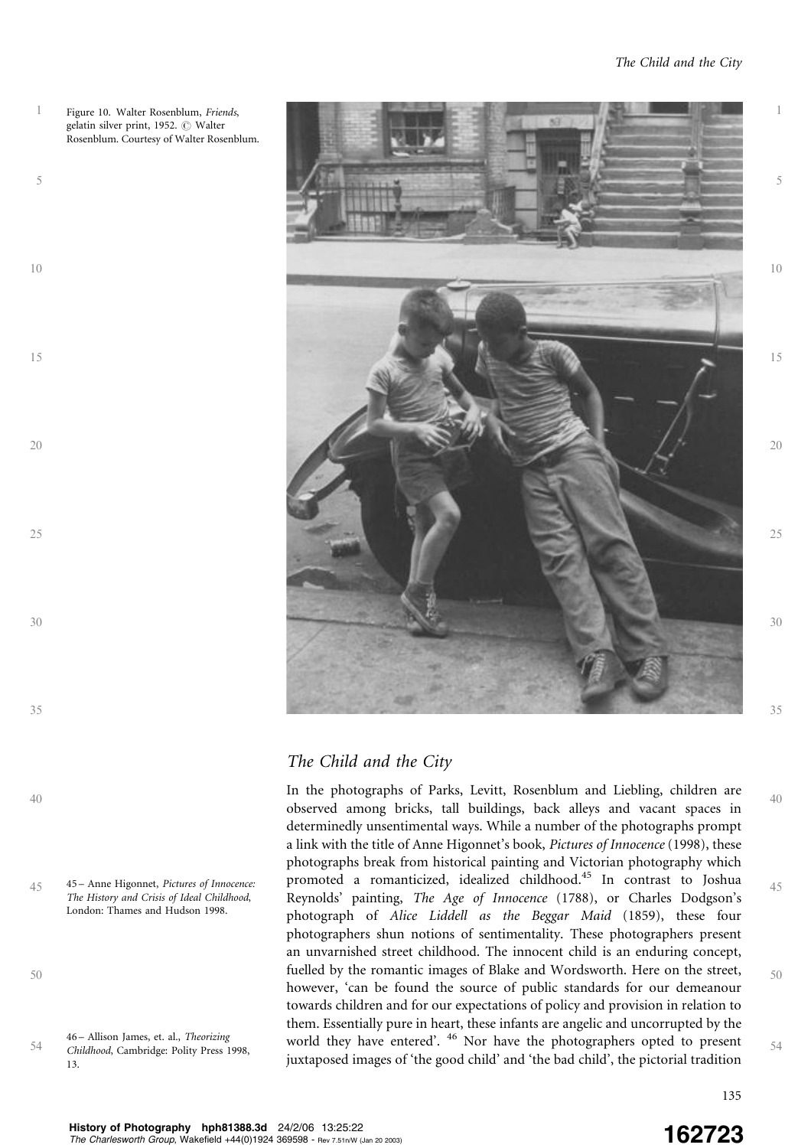Figure 10. Walter Rosenblum, Friends, gelatin silver print, 1952.  $\circled{c}$  Walter Rosenblum. Courtesy of Walter Rosenblum. 1

5

10

15

 $20$ 

25

30

35

40



# The Child and the City

In the photographs of Parks, Levitt, Rosenblum and Liebling, children are observed among bricks, tall buildings, back alleys and vacant spaces in determinedly unsentimental ways. While a number of the photographs prompt a link with the title of Anne Higonnet's book, Pictures of Innocence (1998), these photographs break from historical painting and Victorian photography which promoted a romanticized, idealized childhood.<sup>45</sup> In contrast to Joshua Reynolds' painting, The Age of Innocence (1788), or Charles Dodgson's photograph of Alice Liddell as the Beggar Maid (1859), these four photographers shun notions of sentimentality. These photographers present an unvarnished street childhood. The innocent child is an enduring concept, fuelled by the romantic images of Blake and Wordsworth. Here on the street, however, 'can be found the source of public standards for our demeanour towards children and for our expectations of policy and provision in relation to them. Essentially pure in heart, these infants are angelic and uncorrupted by the world they have entered'. <sup>46</sup> Nor have the photographers opted to present juxtaposed images of 'the good child' and 'the bad child', the pictorial tradition

45 – Anne Higonnet, Pictures of Innocence: The History and Crisis of Ideal Childhood, London: Thames and Hudson 1998. 45

- 50
- 46 Allison James, et. al., Theorizing Childhood, Cambridge: Polity Press 1998, 13. 54

135

 $40$ 

45

50